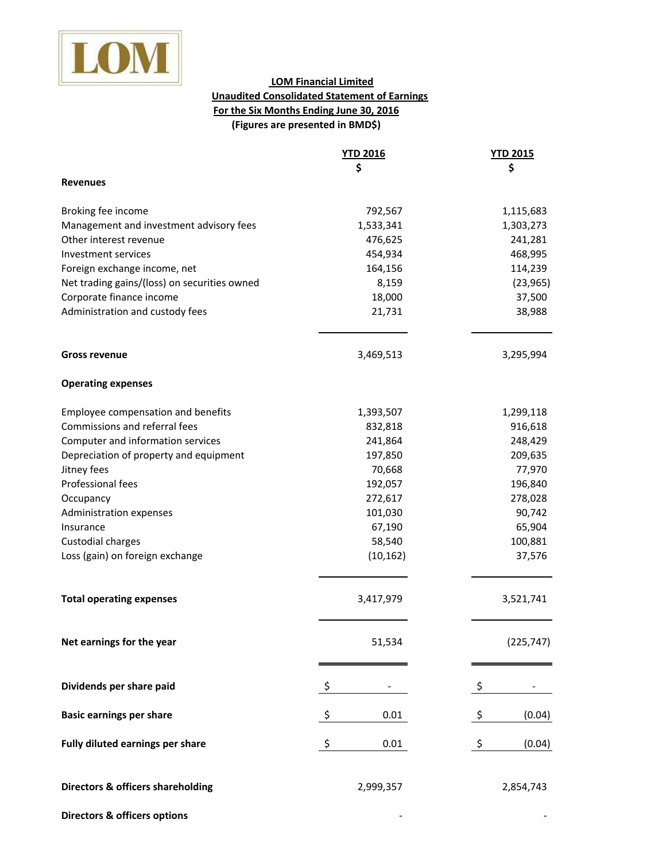

## **For the Six Months Ending June 30, 2016 (Figures are presented in BMD\$) LOM Financial Limited Unaudited Consolidated Statement of Earnings**

|                                              | <b>YTD 2016</b> | <b>YTD 2015</b> |
|----------------------------------------------|-----------------|-----------------|
|                                              | \$              | \$              |
| <b>Revenues</b>                              |                 |                 |
| Broking fee income                           | 792,567         | 1,115,683       |
| Management and investment advisory fees      | 1,533,341       | 1,303,273       |
| Other interest revenue                       | 476,625         | 241,281         |
| Investment services                          | 454,934         | 468,995         |
| Foreign exchange income, net                 | 164,156         | 114,239         |
| Net trading gains/(loss) on securities owned | 8,159           | (23, 965)       |
| Corporate finance income                     | 18,000          | 37,500          |
| Administration and custody fees              | 21,731          | 38,988          |
| <b>Gross revenue</b>                         | 3,469,513       | 3,295,994       |
| <b>Operating expenses</b>                    |                 |                 |
| Employee compensation and benefits           | 1,393,507       | 1,299,118       |
| Commissions and referral fees                | 832,818         | 916,618         |
| Computer and information services            | 241,864         | 248,429         |
| Depreciation of property and equipment       | 197,850         | 209,635         |
| Jitney fees                                  | 70,668          | 77,970          |
| Professional fees                            | 192,057         | 196,840         |
| Occupancy                                    | 272,617         | 278,028         |
| Administration expenses                      | 101,030         | 90,742          |
| Insurance                                    | 67,190          | 65,904          |
| Custodial charges                            | 58,540          | 100,881         |
| Loss (gain) on foreign exchange              | (10, 162)       | 37,576          |
| <b>Total operating expenses</b>              | 3,417,979       | 3,521,741       |
| Net earnings for the year                    | 51,534          | (225, 747)      |
| Dividends per share paid                     | \$              | \$              |
| <b>Basic earnings per share</b>              | \$<br>0.01      | \$<br>(0.04)    |
| Fully diluted earnings per share             | \$<br>0.01      | \$<br>(0.04)    |
|                                              |                 |                 |
| <b>Directors &amp; officers shareholding</b> | 2,999,357       | 2,854,743       |
| <b>Directors &amp; officers options</b>      |                 |                 |